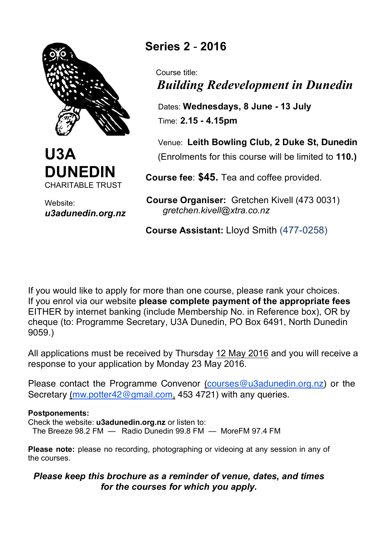



Website: *u3adunedin.org.nz*

## **Series 2** - **2016**

 Course title:  *Building Redevelopment in Dunedin*

 Dates: **Wednesdays, 8 June - 13 July** Time: **2.15 - 4.15pm** 

 Venue: **Leith Bowling Club, 2 Duke St, Dunedin** (Enrolments for this course will be limited to **110.)**

 **Course fee**: **\$45.** Tea and coffee provided.

 **Course Organiser:** Gretchen Kivell (473 0031) *gretchen.kivell@xtra.co.nz*

 **Course Assistant:** Lloyd Smith (477-0258)

If you would like to apply for more than one course, please rank your choices. If you enrol via our website **please complete payment of the appropriate fees** EITHER by internet banking (include Membership No. in Reference box), OR by cheque (to: Programme Secretary, U3A Dunedin, PO Box 6491, North Dunedin 9059.)

All applications must be received by Thursday 12 May 2016 and you will receive a response to your application by Monday 23 May 2016.

Please contact the Programme Convenor (courses@u3adunedin.org.nz) or the Secretary (mw.potter42@gmail.com, 453 4721) with any queries.

## **Postponements:**

Check the website: **u3adunedin.org.nz** or listen to:

The Breeze 98.2 FM — Radio Dunedin 99.8 FM — MoreFM 97.4 FM

**Please note:** please no recording, photographing or videoing at any session in any of the courses.

## *Please keep this brochure as a reminder of venue, dates, and times for the courses for which you apply.*